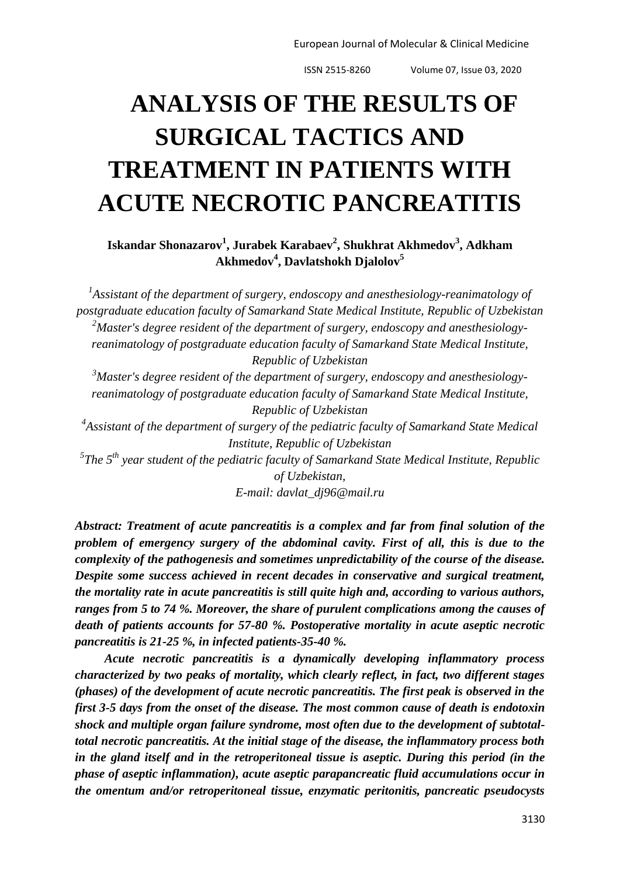European Journal of Molecular & Clinical Medicine

ISSN 2515-8260 Volume 07, Issue 03, 2020

## **ANALYSIS OF THE RESULTS OF SURGICAL TACTICS AND TREATMENT IN PATIENTS WITH ACUTE NECROTIC PANCREATITIS**

**Iskandar Shonazarov<sup>1</sup> , Jurabek Karabaev<sup>2</sup> , Shukhrat Akhmedov<sup>3</sup> , Adkham Akhmedov<sup>4</sup> , Davlatshokh Djalolov<sup>5</sup>**

<sup>1</sup>Assistant of the department of surgery, endoscopy and anesthesiology-reanimatology of *postgraduate education faculty of Samarkand State Medical Institute, Republic of Uzbekistan* <sup>2</sup>Master's degree resident of the department of surgery, endoscopy and anesthesiology*reanimatology of postgraduate education faculty of Samarkand State Medical Institute, Republic of Uzbekistan*

<sup>3</sup>*Master's degree resident of the department of surgery, endoscopy and anesthesiologyreanimatology of postgraduate education faculty of Samarkand State Medical Institute, Republic of Uzbekistan*

*4 Assistant of the department of surgery of the pediatric faculty of Samarkand State Medical Institute, Republic of Uzbekistan*

*5 The 5th year student of the pediatric faculty of Samarkand State Medical Institute, Republic of Uzbekistan,* 

*E-mail: [davlat\\_dj96@mail.ru](mailto:davlat_dj96@mail.ru)*

*Abstract: Treatment of acute pancreatitis is a complex and far from final solution of the problem of emergency surgery of the abdominal cavity. First of all, this is due to the complexity of the pathogenesis and sometimes unpredictability of the course of the disease. Despite some success achieved in recent decades in conservative and surgical treatment, the mortality rate in acute pancreatitis is still quite high and, according to various authors, ranges from 5 to 74 %. Moreover, the share of purulent complications among the causes of death of patients accounts for 57-80 %. Postoperative mortality in acute aseptic necrotic pancreatitis is 21-25 %, in infected patients-35-40 %.*

*Acute necrotic pancreatitis is a dynamically developing inflammatory process characterized by two peaks of mortality, which clearly reflect, in fact, two different stages (phases) of the development of acute necrotic pancreatitis. The first peak is observed in the first 3-5 days from the onset of the disease. The most common cause of death is endotoxin shock and multiple organ failure syndrome, most often due to the development of subtotaltotal necrotic pancreatitis. At the initial stage of the disease, the inflammatory process both in the gland itself and in the retroperitoneal tissue is aseptic. During this period (in the phase of aseptic inflammation), acute aseptic parapancreatic fluid accumulations occur in the omentum and/or retroperitoneal tissue, enzymatic peritonitis, pancreatic pseudocysts*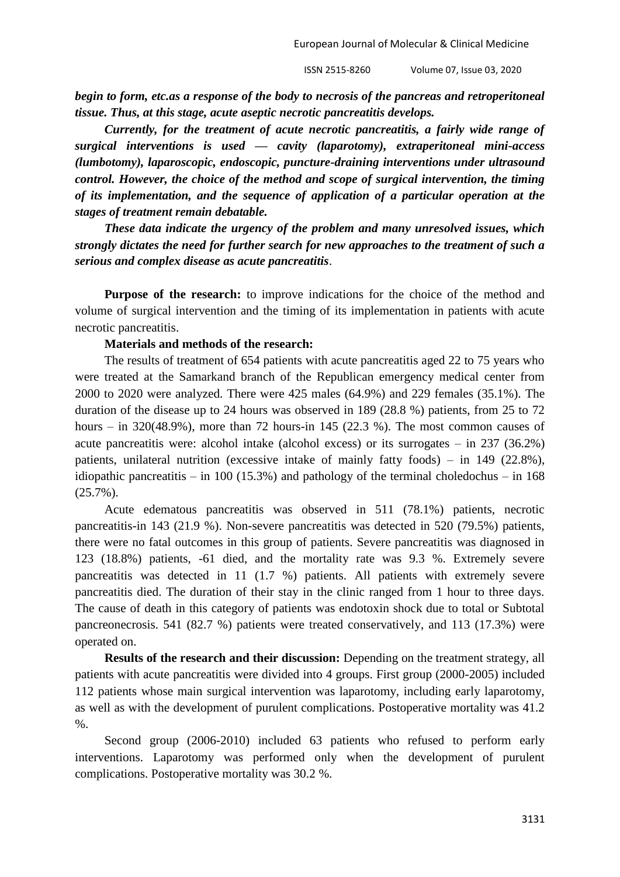*begin to form, etc.as a response of the body to necrosis of the pancreas and retroperitoneal tissue. Thus, at this stage, acute aseptic necrotic pancreatitis develops.*

*Currently, for the treatment of acute necrotic pancreatitis, a fairly wide range of surgical interventions is used — cavity (laparotomy), extraperitoneal mini-access (lumbotomy), laparoscopic, endoscopic, puncture-draining interventions under ultrasound control. However, the choice of the method and scope of surgical intervention, the timing of its implementation, and the sequence of application of a particular operation at the stages of treatment remain debatable.*

*These data indicate the urgency of the problem and many unresolved issues, which strongly dictates the need for further search for new approaches to the treatment of such a serious and complex disease as acute pancreatitis*.

**Purpose of the research:** to improve indications for the choice of the method and volume of surgical intervention and the timing of its implementation in patients with acute necrotic pancreatitis.

## **Materials and methods of the research:**

The results of treatment of 654 patients with acute pancreatitis aged 22 to 75 years who were treated at the Samarkand branch of the Republican emergency medical center from 2000 to 2020 were analyzed. There were 425 males (64.9%) and 229 females (35.1%). The duration of the disease up to 24 hours was observed in 189 (28.8 %) patients, from 25 to 72 hours – in  $320(48.9\%)$ , more than 72 hours-in 145 (22.3 %). The most common causes of acute pancreatitis were: alcohol intake (alcohol excess) or its surrogates – in 237 (36.2%) patients, unilateral nutrition (excessive intake of mainly fatty foods) – in 149 (22.8%), idiopathic pancreatitis – in 100 (15.3%) and pathology of the terminal choledochus – in 168 (25.7%).

Acute edematous pancreatitis was observed in 511 (78.1%) patients, necrotic pancreatitis-in 143 (21.9 %). Non-severe pancreatitis was detected in 520 (79.5%) patients, there were no fatal outcomes in this group of patients. Severe pancreatitis was diagnosed in 123 (18.8%) patients, -61 died, and the mortality rate was 9.3 %. Extremely severe pancreatitis was detected in 11 (1.7 %) patients. All patients with extremely severe pancreatitis died. The duration of their stay in the clinic ranged from 1 hour to three days. The cause of death in this category of patients was endotoxin shock due to total or Subtotal pancreonecrosis. 541 (82.7 %) patients were treated conservatively, and 113 (17.3%) were operated on.

**Results of the research and their discussion:** Depending on the treatment strategy, all patients with acute pancreatitis were divided into 4 groups. First group (2000-2005) included 112 patients whose main surgical intervention was laparotomy, including early laparotomy, as well as with the development of purulent complications. Postoperative mortality was 41.2 %.

Second group (2006-2010) included 63 patients who refused to perform early interventions. Laparotomy was performed only when the development of purulent complications. Postoperative mortality was 30.2 %.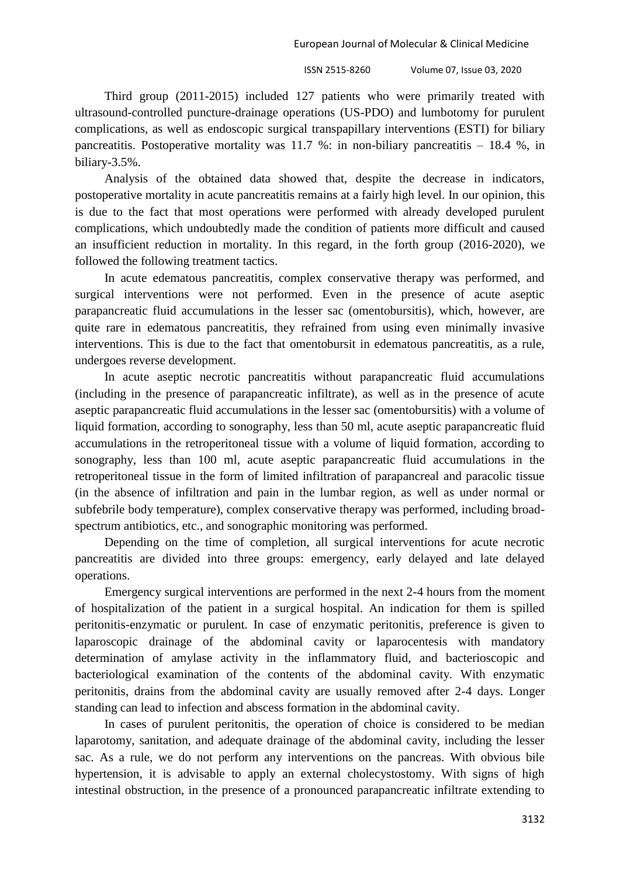Third group (2011-2015) included 127 patients who were primarily treated with ultrasound-controlled puncture-drainage operations (US-PDO) and lumbotomy for purulent complications, as well as endoscopic surgical transpapillary interventions (ESTI) for biliary pancreatitis. Postoperative mortality was 11.7 %: in non-biliary pancreatitis  $-18.4$  %, in biliary-3.5%.

Analysis of the obtained data showed that, despite the decrease in indicators, postoperative mortality in acute pancreatitis remains at a fairly high level. In our opinion, this is due to the fact that most operations were performed with already developed purulent complications, which undoubtedly made the condition of patients more difficult and caused an insufficient reduction in mortality. In this regard, in the forth group (2016-2020), we followed the following treatment tactics.

In acute edematous pancreatitis, complex conservative therapy was performed, and surgical interventions were not performed. Even in the presence of acute aseptic parapancreatic fluid accumulations in the lesser sac (omentobursitis), which, however, are quite rare in edematous pancreatitis, they refrained from using even minimally invasive interventions. This is due to the fact that omentobursit in edematous pancreatitis, as a rule, undergoes reverse development.

In acute aseptic necrotic pancreatitis without parapancreatic fluid accumulations (including in the presence of parapancreatic infiltrate), as well as in the presence of acute aseptic parapancreatic fluid accumulations in the lesser sac (omentobursitis) with a volume of liquid formation, according to sonography, less than 50 ml, acute aseptic parapancreatic fluid accumulations in the retroperitoneal tissue with a volume of liquid formation, according to sonography, less than 100 ml, acute aseptic parapancreatic fluid accumulations in the retroperitoneal tissue in the form of limited infiltration of parapancreal and paracolic tissue (in the absence of infiltration and pain in the lumbar region, as well as under normal or subfebrile body temperature), complex conservative therapy was performed, including broadspectrum antibiotics, etc., and sonographic monitoring was performed.

Depending on the time of completion, all surgical interventions for acute necrotic pancreatitis are divided into three groups: emergency, early delayed and late delayed operations.

Emergency surgical interventions are performed in the next 2-4 hours from the moment of hospitalization of the patient in a surgical hospital. An indication for them is spilled peritonitis-enzymatic or purulent. In case of enzymatic peritonitis, preference is given to laparoscopic drainage of the abdominal cavity or laparocentesis with mandatory determination of amylase activity in the inflammatory fluid, and bacterioscopic and bacteriological examination of the contents of the abdominal cavity. With enzymatic peritonitis, drains from the abdominal cavity are usually removed after 2-4 days. Longer standing can lead to infection and abscess formation in the abdominal cavity.

In cases of purulent peritonitis, the operation of choice is considered to be median laparotomy, sanitation, and adequate drainage of the abdominal cavity, including the lesser sac. As a rule, we do not perform any interventions on the pancreas. With obvious bile hypertension, it is advisable to apply an external cholecystostomy. With signs of high intestinal obstruction, in the presence of a pronounced parapancreatic infiltrate extending to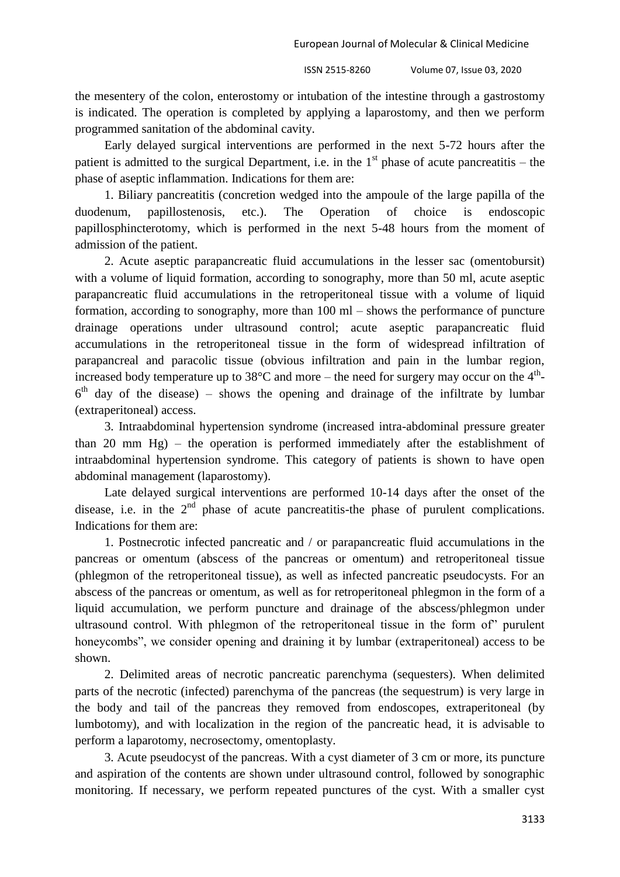the mesentery of the colon, enterostomy or intubation of the intestine through a gastrostomy is indicated. The operation is completed by applying a laparostomy, and then we perform programmed sanitation of the abdominal cavity.

Early delayed surgical interventions are performed in the next 5-72 hours after the patient is admitted to the surgical Department, i.e. in the  $1<sup>st</sup>$  phase of acute pancreatitis – the phase of aseptic inflammation. Indications for them are:

1. Biliary pancreatitis (concretion wedged into the ampoule of the large papilla of the duodenum, papillostenosis, etc.). The Operation of choice is endoscopic papillosphincterotomy, which is performed in the next 5-48 hours from the moment of admission of the patient.

2. Acute aseptic parapancreatic fluid accumulations in the lesser sac (omentobursit) with a volume of liquid formation, according to sonography, more than 50 ml, acute aseptic parapancreatic fluid accumulations in the retroperitoneal tissue with a volume of liquid formation, according to sonography, more than 100 ml – shows the performance of puncture drainage operations under ultrasound control; acute aseptic parapancreatic fluid accumulations in the retroperitoneal tissue in the form of widespread infiltration of parapancreal and paracolic tissue (obvious infiltration and pain in the lumbar region, increased body temperature up to 38 $^{\circ}$ C and more – the need for surgery may occur on the 4<sup>th</sup>- $6<sup>th</sup>$  day of the disease) – shows the opening and drainage of the infiltrate by lumbar (extraperitoneal) access.

3. Intraabdominal hypertension syndrome (increased intra-abdominal pressure greater than 20 mm Hg) – the operation is performed immediately after the establishment of intraabdominal hypertension syndrome. This category of patients is shown to have open abdominal management (laparostomy).

Late delayed surgical interventions are performed 10-14 days after the onset of the disease, i.e. in the  $2<sup>nd</sup>$  phase of acute pancreatitis-the phase of purulent complications. Indications for them are:

1. Postnecrotic infected pancreatic and / or parapancreatic fluid accumulations in the pancreas or omentum (abscess of the pancreas or omentum) and retroperitoneal tissue (phlegmon of the retroperitoneal tissue), as well as infected pancreatic pseudocysts. For an abscess of the pancreas or omentum, as well as for retroperitoneal phlegmon in the form of a liquid accumulation, we perform puncture and drainage of the abscess/phlegmon under ultrasound control. With phlegmon of the retroperitoneal tissue in the form of" purulent honeycombs", we consider opening and draining it by lumbar (extraperitoneal) access to be shown.

2. Delimited areas of necrotic pancreatic parenchyma (sequesters). When delimited parts of the necrotic (infected) parenchyma of the pancreas (the sequestrum) is very large in the body and tail of the pancreas they removed from endoscopes, extraperitoneal (by lumbotomy), and with localization in the region of the pancreatic head, it is advisable to perform a laparotomy, necrosectomy, omentoplasty.

3. Acute pseudocyst of the pancreas. With a cyst diameter of 3 cm or more, its puncture and aspiration of the contents are shown under ultrasound control, followed by sonographic monitoring. If necessary, we perform repeated punctures of the cyst. With a smaller cyst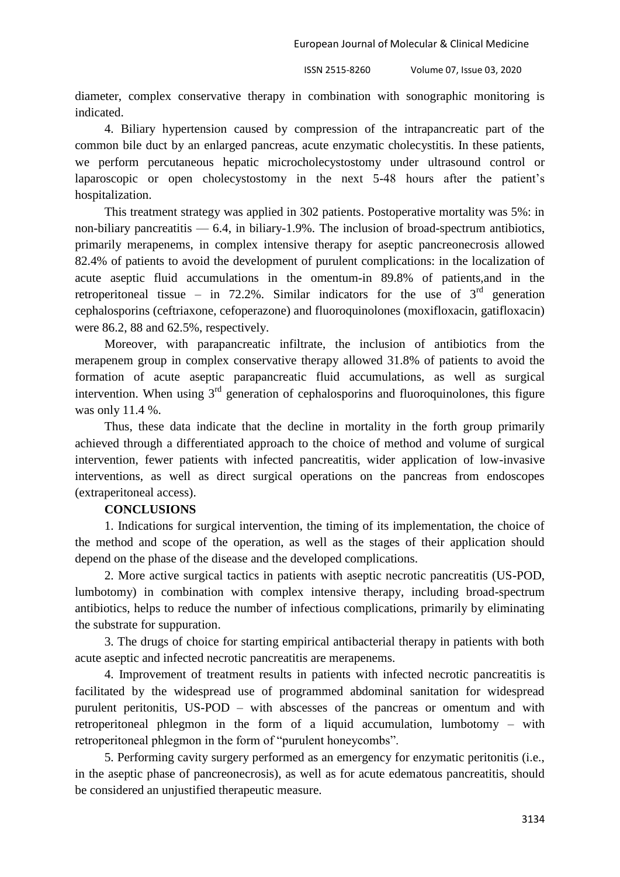European Journal of Molecular & Clinical Medicine

ISSN 2515-8260 Volume 07, Issue 03, 2020

diameter, complex conservative therapy in combination with sonographic monitoring is indicated.

4. Biliary hypertension caused by compression of the intrapancreatic part of the common bile duct by an enlarged pancreas, acute enzymatic cholecystitis. In these patients, we perform percutaneous hepatic microcholecystostomy under ultrasound control or laparoscopic or open cholecystostomy in the next 5-48 hours after the patient's hospitalization.

This treatment strategy was applied in 302 patients. Postoperative mortality was 5%: in non-biliary pancreatitis  $-6.4$ , in biliary-1.9%. The inclusion of broad-spectrum antibiotics, primarily merapenems, in complex intensive therapy for aseptic pancreonecrosis allowed 82.4% of patients to avoid the development of purulent complications: in the localization of acute aseptic fluid accumulations in the omentum-in 89.8% of patients,and in the retroperitoneal tissue – in 72.2%. Similar indicators for the use of  $3<sup>rd</sup>$  generation cephalosporins (ceftriaxone, cefoperazone) and fluoroquinolones (moxifloxacin, gatifloxacin) were 86.2, 88 and 62.5%, respectively.

Moreover, with parapancreatic infiltrate, the inclusion of antibiotics from the merapenem group in complex conservative therapy allowed 31.8% of patients to avoid the formation of acute aseptic parapancreatic fluid accumulations, as well as surgical intervention. When using  $3<sup>rd</sup>$  generation of cephalosporins and fluoroquinolones, this figure was only 11.4 %.

Thus, these data indicate that the decline in mortality in the forth group primarily achieved through a differentiated approach to the choice of method and volume of surgical intervention, fewer patients with infected pancreatitis, wider application of low-invasive interventions, as well as direct surgical operations on the pancreas from endoscopes (extraperitoneal access).

## **CONCLUSIONS**

1. Indications for surgical intervention, the timing of its implementation, the choice of the method and scope of the operation, as well as the stages of their application should depend on the phase of the disease and the developed complications.

2. More active surgical tactics in patients with aseptic necrotic pancreatitis (US-POD, lumbotomy) in combination with complex intensive therapy, including broad-spectrum antibiotics, helps to reduce the number of infectious complications, primarily by eliminating the substrate for suppuration.

3. The drugs of choice for starting empirical antibacterial therapy in patients with both acute aseptic and infected necrotic pancreatitis are merapenems.

4. Improvement of treatment results in patients with infected necrotic pancreatitis is facilitated by the widespread use of programmed abdominal sanitation for widespread purulent peritonitis, US-POD – with abscesses of the pancreas or omentum and with retroperitoneal phlegmon in the form of a liquid accumulation, lumbotomy – with retroperitoneal phlegmon in the form of "purulent honeycombs".

5. Performing cavity surgery performed as an emergency for enzymatic peritonitis (i.e., in the aseptic phase of pancreonecrosis), as well as for acute edematous pancreatitis, should be considered an unjustified therapeutic measure.